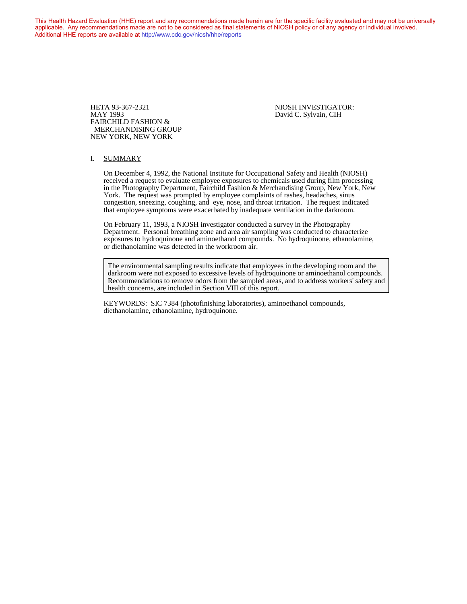This Health Hazard Evaluation (HHE) report and any recommendations made herein are for the specific facility evaluated and may not be universally applicable. Any recommendations made are not to be considered as final statements of NIOSH policy or of any agency or individual involved. Additional HHE reports are available at <http://www.cdc.gov/niosh/hhe/reports> Additional HHE reports are available at <http://www.cdc.gov/niosh/hhe/reports>

> HETA 93-367-2321 NIOSH INVESTIGATOR:<br>MAY 1993 David C. Sylvain, CIH FAIRCHILD FASHION & MERCHANDISING GROUP NEW YORK, NEW YORK

David C. Sylvain, CIH

#### I. SUMMARY

On December 4, 1992, the National Institute for Occupational Safety and Health (NIOSH) received a request to evaluate employee exposures to chemicals used during film processing in the Photography Department, Fairchild Fashion & Merchandising Group, New York, New York. The request was prompted by employee complaints of rashes, headaches, sinus congestion, sneezing, coughing, and eye, nose, and throat irritation. The request indicated that employee symptoms were exacerbated by inadequate ventilation in the darkroom.

On February 11, 1993, a NIOSH investigator conducted a survey in the Photography Department. Personal breathing zone and area air sampling was conducted to characterize exposures to hydroquinone and aminoethanol compounds. No hydroquinone, ethanolamine, or diethanolamine was detected in the workroom air.

The environmental sampling results indicate that employees in the developing room and the darkroom were not exposed to excessive levels of hydroquinone or aminoethanol compounds. Recommendations to remove odors from the sampled areas, and to address workers' safety and health concerns, are included in Section VIII of this report.

KEYWORDS: SIC 7384 (photofinishing laboratories), aminoethanol compounds, diethanolamine, ethanolamine, hydroquinone.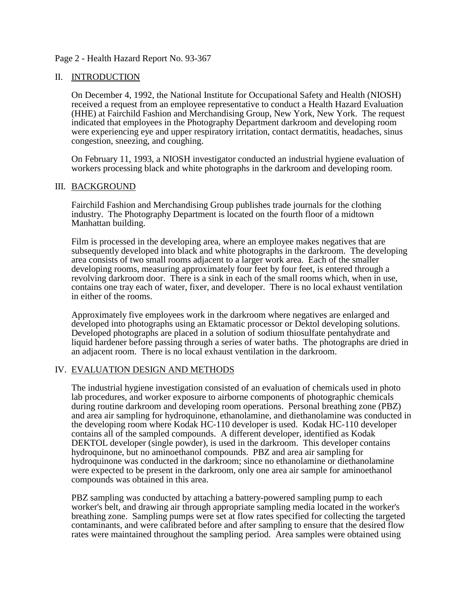## Page 2 - Health Hazard Report No. 93-367

### II. INTRODUCTION

On December 4, 1992, the National Institute for Occupational Safety and Health (NIOSH) received a request from an employee representative to conduct a Health Hazard Evaluation (HHE) at Fairchild Fashion and Merchandising Group, New York, New York. The request indicated that employees in the Photography Department darkroom and developing room were experiencing eye and upper respiratory irritation, contact dermatitis, headaches, sinus congestion, sneezing, and coughing.

On February 11, 1993, a NIOSH investigator conducted an industrial hygiene evaluation of workers processing black and white photographs in the darkroom and developing room.

### III. BACKGROUND

Fairchild Fashion and Merchandising Group publishes trade journals for the clothing industry. The Photography Department is located on the fourth floor of a midtown Manhattan building.

Film is processed in the developing area, where an employee makes negatives that are subsequently developed into black and white photographs in the darkroom. The developing area consists of two small rooms adjacent to a larger work area. Each of the smaller developing rooms, measuring approximately four feet by four feet, is entered through a revolving darkroom door. There is a sink in each of the small rooms which, when in use, contains one tray each of water, fixer, and developer. There is no local exhaust ventilation in either of the rooms.

Approximately five employees work in the darkroom where negatives are enlarged and developed into photographs using an Ektamatic processor or Dektol developing solutions. Developed photographs are placed in a solution of sodium thiosulfate pentahydrate and liquid hardener before passing through a series of water baths. The photographs are dried in an adjacent room. There is no local exhaust ventilation in the darkroom.

### IV. EVALUATION DESIGN AND METHODS

The industrial hygiene investigation consisted of an evaluation of chemicals used in photo lab procedures, and worker exposure to airborne components of photographic chemicals during routine darkroom and developing room operations. Personal breathing zone (PBZ) and area air sampling for hydroquinone, ethanolamine, and diethanolamine was conducted in the developing room where Kodak HC-110 developer is used. Kodak HC-110 developer contains all of the sampled compounds. A different developer, identified as Kodak DEKTOL developer (single powder), is used in the darkroom. This developer contains hydroquinone, but no aminoethanol compounds. PBZ and area air sampling for hydroquinone was conducted in the darkroom; since no ethanolamine or diethanolamine were expected to be present in the darkroom, only one area air sample for aminoethanol compounds was obtained in this area.

PBZ sampling was conducted by attaching a battery-powered sampling pump to each worker's belt, and drawing air through appropriate sampling media located in the worker's breathing zone. Sampling pumps were set at flow rates specified for collecting the targeted contaminants, and were calibrated before and after sampling to ensure that the desired flow rates were maintained throughout the sampling period. Area samples were obtained using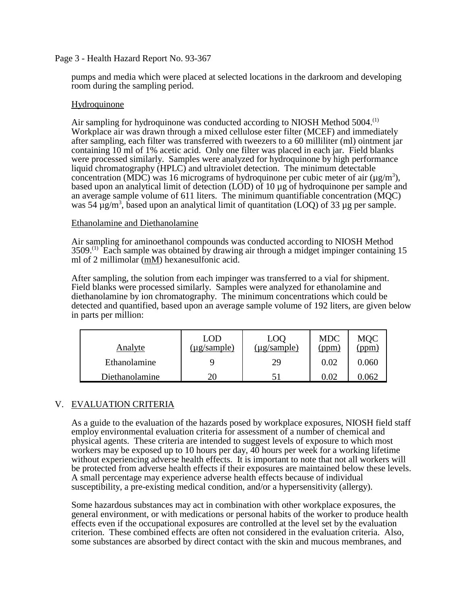# Page 3 - Health Hazard Report No. 93-367

pumps and media which were placed at selected locations in the darkroom and developing room during the sampling period.

### **Hydroquinone**

Air sampling for hydroquinone was conducted according to NIOSH Method 5004.<sup>(1)</sup> Workplace air was drawn through a mixed cellulose ester filter (MCEF) and immediately after sampling, each filter was transferred with tweezers to a 60 milliliter (ml) ointment jar containing 10 ml of 1% acetic acid. Only one filter was placed in each jar. Field blanks were processed similarly. Samples were analyzed for hydroquinone by high performance liquid chromatography (HPLC) and ultraviolet detection. The minimum detectable concentration (MDC) was 16 micrograms of hydroquinone per cubic meter of air ( $\mu$ g/m<sup>3</sup>), based upon an analytical limit of detection (LOD) of 10 µg of hydroquinone per sample and an average sample volume of 611 liters. The minimum quantifiable concentration (MQC) was 54  $\mu$ g/m<sup>3</sup>, based upon an analytical limit of quantitation (LOQ) of 33  $\mu$ g per sample.

### Ethanolamine and Diethanolamine

Air sampling for aminoethanol compounds was conducted according to NIOSH Method  $3509<sup>(1)</sup>$  Each sample was obtained by drawing air through a midget impinger containing 15 ml of 2 millimolar (mM) hexanesulfonic acid.

After sampling, the solution from each impinger was transferred to a vial for shipment. Field blanks were processed similarly. Samples were analyzed for ethanolamine and diethanolamine by ion chromatography. The minimum concentrations which could be detected and quantified, based upon an average sample volume of 192 liters, are given below in parts per million:

| <b>Analyte</b> | LOD<br>( <u>µg/sample)</u> | LOQ<br>$(\mu$ g/sample) | <b>MDC</b><br>(ppm, | <b>MOC</b><br>ppm |
|----------------|----------------------------|-------------------------|---------------------|-------------------|
| Ethanolamine   |                            | 29                      | 0.02                | 0.060             |
| Diethanolamine | 20                         |                         | $0.0^\circ$         | 0.062             |

# V. EVALUATION CRITERIA

As a guide to the evaluation of the hazards posed by workplace exposures, NIOSH field staff employ environmental evaluation criteria for assessment of a number of chemical and physical agents. These criteria are intended to suggest levels of exposure to which most workers may be exposed up to 10 hours per day,  $\overline{40}$  hours per week for a working lifetime without experiencing adverse health effects. It is important to note that not all workers will be protected from adverse health effects if their exposures are maintained below these levels. A small percentage may experience adverse health effects because of individual susceptibility, a pre-existing medical condition, and/or a hypersensitivity (allergy).

Some hazardous substances may act in combination with other workplace exposures, the general environment, or with medications or personal habits of the worker to produce health effects even if the occupational exposures are controlled at the level set by the evaluation criterion. These combined effects are often not considered in the evaluation criteria. Also, some substances are absorbed by direct contact with the skin and mucous membranes, and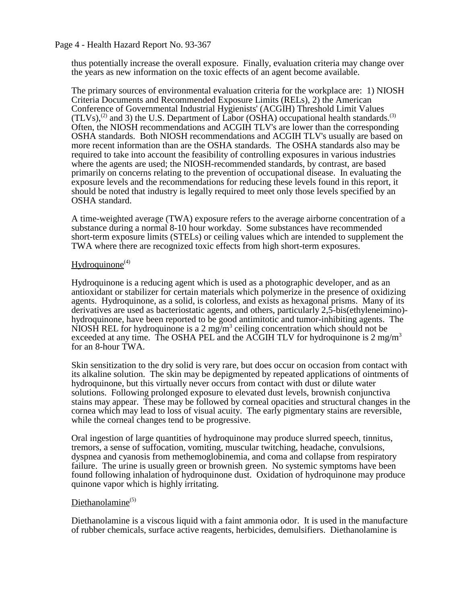### Page 4 - Health Hazard Report No. 93-367

thus potentially increase the overall exposure. Finally, evaluation criteria may change over the years as new information on the toxic effects of an agent become available.

The primary sources of environmental evaluation criteria for the workplace are: 1) NIOSH Criteria Documents and Recommended Exposure Limits (RELs), 2) the American Conference of Governmental Industrial Hygienists' (ACGIH) Threshold Limit Values  $(TLVs)$ ,<sup>(2)</sup> and 3) the U.S. Department of Labor (OSHA) occupational health standards.<sup>(3)</sup> Often, the NIOSH recommendations and ACGIH TLV's are lower than the corresponding OSHA standards. Both NIOSH recommendations and ACGIH TLV's usually are based on more recent information than are the OSHA standards. The OSHA standards also may be required to take into account the feasibility of controlling exposures in various industries where the agents are used; the NIOSH-recommended standards, by contrast, are based primarily on concerns relating to the prevention of occupational disease. In evaluating the exposure levels and the recommendations for reducing these levels found in this report, it should be noted that industry is legally required to meet only those levels specified by an OSHA standard.

A time-weighted average (TWA) exposure refers to the average airborne concentration of a substance during a normal 8-10 hour workday. Some substances have recommended short-term exposure limits (STELs) or ceiling values which are intended to supplement the TWA where there are recognized toxic effects from high short-term exposures.

## $Hydroquinone<sup>(4)</sup>$

Hydroquinone is a reducing agent which is used as a photographic developer, and as an antioxidant or stabilizer for certain materials which polymerize in the presence of oxidizing agents. Hydroquinone, as a solid, is colorless, and exists as hexagonal prisms. Many of its derivatives are used as bacteriostatic agents, and others, particularly 2,5-bis(ethyleneimino) hydroquinone, have been reported to be good antimitotic and tumor-inhibiting agents. The NIOSH REL for hydroquinone is a 2 mg/m<sup>3</sup> ceiling concentration which should not be exceeded at any time. The OSHA PEL and the ACGIH TLV for hydroquinone is  $2 \text{ mg/m}^3$ for an 8-hour TWA.

Skin sensitization to the dry solid is very rare, but does occur on occasion from contact with its alkaline solution. The skin may be depigmented by repeated applications of ointments of hydroquinone, but this virtually never occurs from contact with dust or dilute water solutions. Following prolonged exposure to elevated dust levels, brownish conjunctiva stains may appear. These may be followed by corneal opacities and structural changes in the cornea which may lead to loss of visual acuity. The early pigmentary stains are reversible, while the corneal changes tend to be progressive.

Oral ingestion of large quantities of hydroquinone may produce slurred speech, tinnitus, tremors, a sense of suffocation, vomiting, muscular twitching, headache, convulsions, dyspnea and cyanosis from methemoglobinemia, and coma and collapse from respiratory failure. The urine is usually green or brownish green. No systemic symptoms have been found following inhalation of hydroquinone dust. Oxidation of hydroquinone may produce quinone vapor which is highly irritating.

# Diethanolamine<sup>(5)</sup>

Diethanolamine is a viscous liquid with a faint ammonia odor. It is used in the manufacture of rubber chemicals, surface active reagents, herbicides, demulsifiers. Diethanolamine is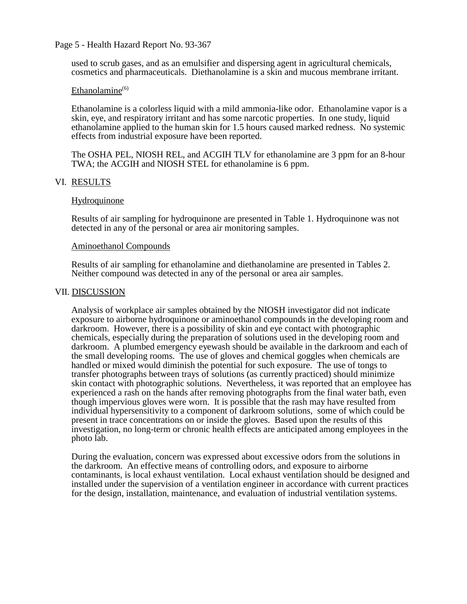### Page 5 - Health Hazard Report No. 93-367

used to scrub gases, and as an emulsifier and dispersing agent in agricultural chemicals, cosmetics and pharmaceuticals. Diethanolamine is a skin and mucous membrane irritant.

### Ethanolamine $(6)$

Ethanolamine is a colorless liquid with a mild ammonia-like odor. Ethanolamine vapor is a skin, eye, and respiratory irritant and has some narcotic properties. In one study, liquid ethanolamine applied to the human skin for 1.5 hours caused marked redness. No systemic effects from industrial exposure have been reported.

The OSHA PEL, NIOSH REL, and ACGIH TLV for ethanolamine are 3 ppm for an 8-hour TWA; the ACGIH and NIOSH STEL for ethanolamine is 6 ppm.

## VI. RESULTS

### Hydroquinone

Results of air sampling for hydroquinone are presented in Table 1. Hydroquinone was not detected in any of the personal or area air monitoring samples.

#### Aminoethanol Compounds

Results of air sampling for ethanolamine and diethanolamine are presented in Tables 2. Neither compound was detected in any of the personal or area air samples.

### VII. DISCUSSION

Analysis of workplace air samples obtained by the NIOSH investigator did not indicate exposure to airborne hydroquinone or aminoethanol compounds in the developing room and darkroom. However, there is a possibility of skin and eye contact with photographic chemicals, especially during the preparation of solutions used in the developing room and darkroom. A plumbed emergency eyewash should be available in the darkroom and each of the small developing rooms. The use of gloves and chemical goggles when chemicals are handled or mixed would diminish the potential for such exposure. The use of tongs to transfer photographs between trays of solutions (as currently practiced) should minimize skin contact with photographic solutions. Nevertheless, it was reported that an employee has experienced a rash on the hands after removing photographs from the final water bath, even though impervious gloves were worn. It is possible that the rash may have resulted from individual hypersensitivity to a component of darkroom solutions, some of which could be present in trace concentrations on or inside the gloves. Based upon the results of this investigation, no long-term or chronic health effects are anticipated among employees in the photo lab.

During the evaluation, concern was expressed about excessive odors from the solutions in the darkroom. An effective means of controlling odors, and exposure to airborne contaminants, is local exhaust ventilation. Local exhaust ventilation should be designed and installed under the supervision of a ventilation engineer in accordance with current practices for the design, installation, maintenance, and evaluation of industrial ventilation systems.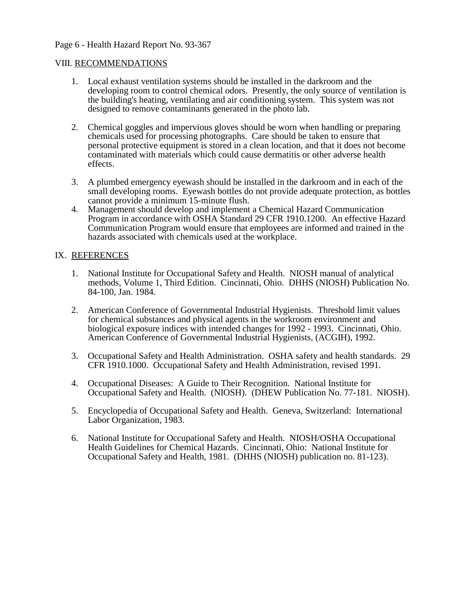# Page 6 - Health Hazard Report No. 93-367

### VIII. RECOMMENDATIONS

- 1. Local exhaust ventilation systems should be installed in the darkroom and the developing room to control chemical odors. Presently, the only source of ventilation is the building's heating, ventilating and air conditioning system. This system was not designed to remove contaminants generated in the photo lab.
- 2. Chemical goggles and impervious gloves should be worn when handling or preparing chemicals used for processing photographs. Care should be taken to ensure that personal protective equipment is stored in a clean location, and that it does not become contaminated with materials which could cause dermatitis or other adverse health effects.
- 3. A plumbed emergency eyewash should be installed in the darkroom and in each of the small developing rooms. Eyewash bottles do not provide adequate protection, as bottles cannot provide a minimum 15-minute flush.
- 4. Management should develop and implement a Chemical Hazard Communication Program in accordance with OSHA Standard 29 CFR 1910.1200. An effective Hazard Communication Program would ensure that employees are informed and trained in the hazards associated with chemicals used at the workplace.

## IX. REFERENCES

- 1. National Institute for Occupational Safety and Health. NIOSH manual of analytical methods, Volume 1, Third Edition. Cincinnati, Ohio. DHHS (NIOSH) Publication No. 84-100, Jan. 1984.
- 2. American Conference of Governmental Industrial Hygienists. Threshold limit values for chemical substances and physical agents in the workroom environment and biological exposure indices with intended changes for 1992 - 1993. Cincinnati, Ohio. American Conference of Governmental Industrial Hygienists, (ACGIH), 1992.
- 3. Occupational Safety and Health Administration. OSHA safety and health standards. 29 CFR 1910.1000. Occupational Safety and Health Administration, revised 1991.
- 4. Occupational Diseases: A Guide to Their Recognition. National Institute for Occupational Safety and Health. (NIOSH). (DHEW Publication No. 77-181. NIOSH).
- 5. Encyclopedia of Occupational Safety and Health. Geneva, Switzerland: International Labor Organization, 1983.
- 6. National Institute for Occupational Safety and Health. NIOSH/OSHA Occupational Health Guidelines for Chemical Hazards. Cincinnati, Ohio: National Institute for Occupational Safety and Health, 1981. (DHHS (NIOSH) publication no. 81-123).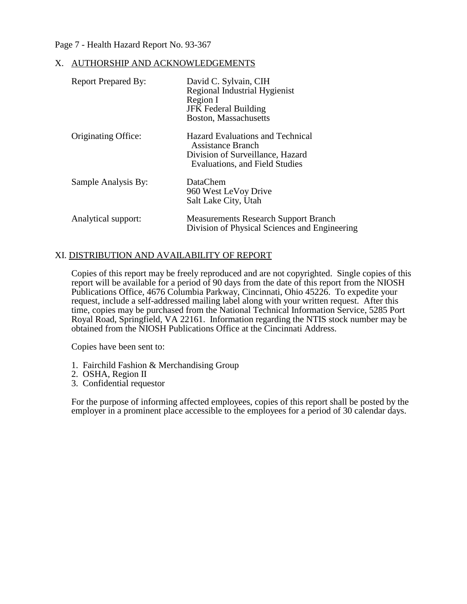## Page 7 - Health Hazard Report No. 93-367

#### X. AUTHORSHIP AND ACKNOWLEDGEMENTS

| <b>Report Prepared By:</b> | David C. Sylvain, CIH<br>Regional Industrial Hygienist<br>Region I<br><b>JFK Federal Building</b><br>Boston, Massachusetts         |
|----------------------------|------------------------------------------------------------------------------------------------------------------------------------|
| Originating Office:        | Hazard Evaluations and Technical<br>Assistance Branch<br>Division of Surveillance, Hazard<br><b>Evaluations, and Field Studies</b> |
| Sample Analysis By:        | DataChem<br>960 West LeVoy Drive<br>Salt Lake City, Utah                                                                           |
| Analytical support:        | <b>Measurements Research Support Branch</b><br>Division of Physical Sciences and Engineering                                       |

## XI. DISTRIBUTION AND AVAILABILITY OF REPORT

Copies of this report may be freely reproduced and are not copyrighted. Single copies of this report will be available for a period of 90 days from the date of this report from the NIOSH Publications Office, 4676 Columbia Parkway, Cincinnati, Ohio 45226. To expedite your request, include a self-addressed mailing label along with your written request. After this time, copies may be purchased from the National Technical Information Service, 5285 Port Royal Road, Springfield, VA 22161. Information regarding the NTIS stock number may be obtained from the NIOSH Publications Office at the Cincinnati Address.

Copies have been sent to:

- 1. Fairchild Fashion & Merchandising Group
- 2. OSHA, Region II
- 3. Confidential requestor

For the purpose of informing affected employees, copies of this report shall be posted by the employer in a prominent place accessible to the employees for a period of 30 calendar days.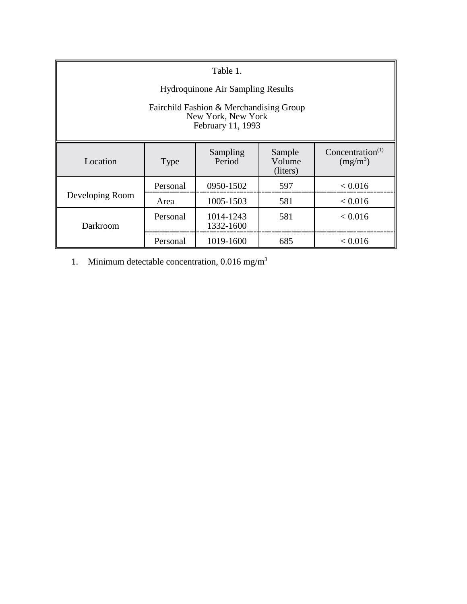| Table 1.                                                                           |             |                        |                              |                                            |  |  |  |
|------------------------------------------------------------------------------------|-------------|------------------------|------------------------------|--------------------------------------------|--|--|--|
| Hydroquinone Air Sampling Results                                                  |             |                        |                              |                                            |  |  |  |
| Fairchild Fashion & Merchandising Group<br>New York, New York<br>February 11, 1993 |             |                        |                              |                                            |  |  |  |
| Location                                                                           | <b>Type</b> | Sampling<br>Period     | Sample<br>Volume<br>(liters) | Concentration <sup>(1)</sup><br>$(mg/m^3)$ |  |  |  |
| Developing Room                                                                    | Personal    | 0950-1502              | 597                          | < 0.016                                    |  |  |  |
|                                                                                    | Area        | 1005-1503              | 581                          | < 0.016                                    |  |  |  |
| Darkroom                                                                           | Personal    | 1014-1243<br>1332-1600 | 581                          | < 0.016                                    |  |  |  |
|                                                                                    | Personal    | 1019-1600              | 685                          | < 0.016                                    |  |  |  |

1. Minimum detectable concentration, 0.016 mg/m3